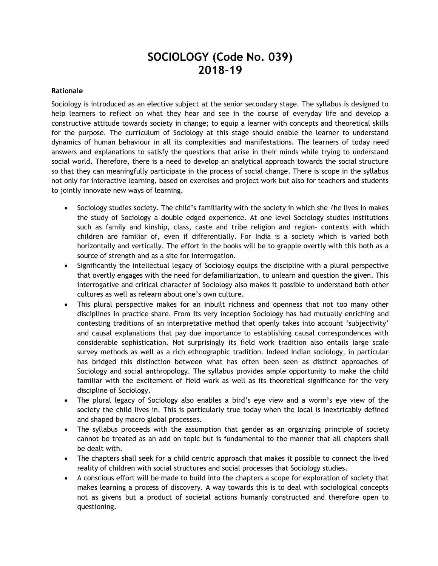# **SOCIOLOGY (Code No. 039) 2018-19**

#### **Rationale**

Sociology is introduced as an elective subject at the senior secondary stage. The syllabus is designed to help learners to reflect on what they hear and see in the course of everyday life and develop a constructive attitude towards society in change; to equip a learner with concepts and theoretical skills for the purpose. The curriculum of Sociology at this stage should enable the learner to understand dynamics of human behaviour in all its complexities and manifestations. The learners of today need answers and explanations to satisfy the questions that arise in their minds while trying to understand social world. Therefore, there is a need to develop an analytical approach towards the social structure so that they can meaningfully participate in the process of social change. There is scope in the syllabus not only for interactive learning, based on exercises and project work but also for teachers and students to jointly innovate new ways of learning.

- Sociology studies society. The child's familiarity with the society in which she /he lives in makes the study of Sociology a double edged experience. At one level Sociology studies institutions such as family and kinship, class, caste and tribe religion and region- contexts with which children are familiar of, even if differentially. For India is a society which is varied both horizontally and vertically. The effort in the books will be to grapple overtly with this both as a source of strength and as a site for interrogation.
- Significantly the intellectual legacy of Sociology equips the discipline with a plural perspective that overtly engages with the need for defamiliarization, to unlearn and question the given. This interrogative and critical character of Sociology also makes it possible to understand both other cultures as well as relearn about one's own culture.
- This plural perspective makes for an inbuilt richness and openness that not too many other disciplines in practice share. From its very inception Sociology has had mutually enriching and contesting traditions of an interpretative method that openly takes into account 'subjectivity' and causal explanations that pay due importance to establishing causal correspondences with considerable sophistication. Not surprisingly its field work tradition also entails large scale survey methods as well as a rich ethnographic tradition. Indeed Indian sociology, in particular has bridged this distinction between what has often been seen as distinct approaches of Sociology and social anthropology. The syllabus provides ample opportunity to make the child familiar with the excitement of field work as well as its theoretical significance for the very discipline of Sociology.
- The plural legacy of Sociology also enables a bird's eye view and a worm's eye view of the society the child lives in. This is particularly true today when the local is inextricably defined and shaped by macro global processes.
- The syllabus proceeds with the assumption that gender as an organizing principle of society cannot be treated as an add on topic but is fundamental to the manner that all chapters shall be dealt with.
- The chapters shall seek for a child centric approach that makes it possible to connect the lived reality of children with social structures and social processes that Sociology studies.
- A conscious effort will be made to build into the chapters a scope for exploration of society that makes learning a process of discovery. A way towards this is to deal with sociological concepts not as givens but a product of societal actions humanly constructed and therefore open to questioning.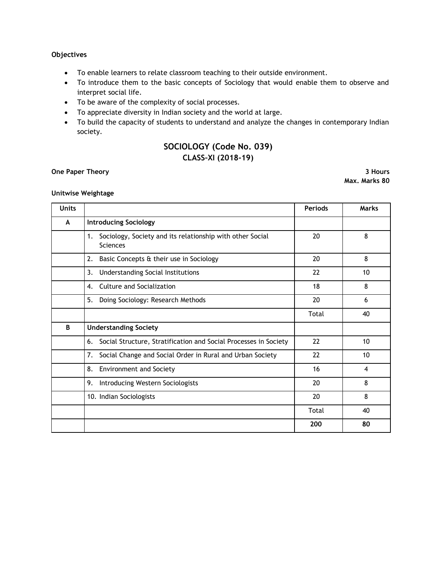### **Objectives**

- To enable learners to relate classroom teaching to their outside environment.
- To introduce them to the basic concepts of Sociology that would enable them to observe and interpret social life.
- To be aware of the complexity of social processes.
- To appreciate diversity in Indian society and the world at large.
- To build the capacity of students to understand and analyze the changes in contemporary Indian society.

## **SOCIOLOGY (Code No. 039) CLASS–XI (2018-19)**

#### **One Paper Theory 3 Hours**

**Max. Marks 80**

#### **Unitwise Weightage**

| <b>Units</b> |                                                                                    | <b>Periods</b> | <b>Marks</b> |
|--------------|------------------------------------------------------------------------------------|----------------|--------------|
| A            | <b>Introducing Sociology</b>                                                       |                |              |
|              | Sociology, Society and its relationship with other Social<br>1.<br><b>Sciences</b> | 20             | 8            |
|              | Basic Concepts & their use in Sociology<br>2.                                      | 20             | 8            |
|              | Understanding Social Institutions<br>3.                                            | 22             | 10           |
|              | <b>Culture and Socialization</b><br>4.                                             | 18             | 8            |
|              | 5.<br>Doing Sociology: Research Methods                                            | 20             | 6            |
|              |                                                                                    | Total          | 40           |
| B            | <b>Understanding Society</b>                                                       |                |              |
|              | Social Structure, Stratification and Social Processes in Society<br>6.             | 22             | 10           |
|              | Social Change and Social Order in Rural and Urban Society<br>7.                    | 22             | 10           |
|              | 8.<br><b>Environment and Society</b>                                               | 16             | 4            |
|              | 9.<br>Introducing Western Sociologists                                             | 20             | 8            |
|              | 10. Indian Sociologists                                                            | 20             | 8            |
|              |                                                                                    | Total          | 40           |
|              |                                                                                    | 200            | 80           |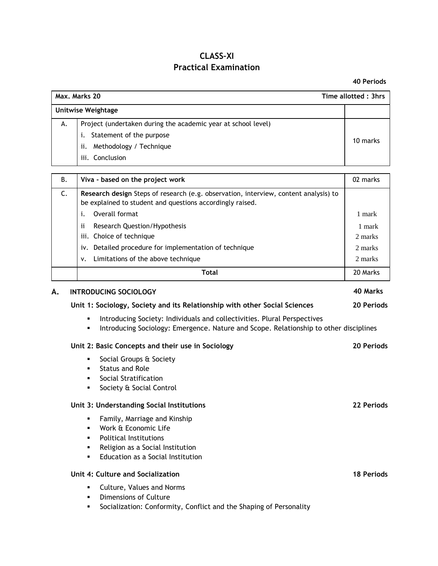# **CLASS–XI Practical Examination**

**40 Periods**

| Max. Marks 20<br>Time allotted: 3hrs |                                                                                                                                                                                                                                                                                                                                                                                |                                        |  |  |  |  |
|--------------------------------------|--------------------------------------------------------------------------------------------------------------------------------------------------------------------------------------------------------------------------------------------------------------------------------------------------------------------------------------------------------------------------------|----------------------------------------|--|--|--|--|
|                                      | <b>Unitwise Weightage</b>                                                                                                                                                                                                                                                                                                                                                      |                                        |  |  |  |  |
| А.                                   | Project (undertaken during the academic year at school level)<br>Statement of the purpose<br>i.<br>Methodology / Technique<br>ii.<br>iii. Conclusion                                                                                                                                                                                                                           | 10 marks                               |  |  |  |  |
| В.                                   | Viva - based on the project work                                                                                                                                                                                                                                                                                                                                               | 02 marks                               |  |  |  |  |
| C.                                   | Research design Steps of research (e.g. observation, interview, content analysis) to<br>be explained to student and questions accordingly raised.<br>Overall format<br>i.<br>Research Question/Hypothesis<br>Ħ<br>iii. Choice of technique<br>iv. Detailed procedure for implementation of technique                                                                           | 1 mark<br>1 mark<br>2 marks<br>2 marks |  |  |  |  |
|                                      | Limitations of the above technique<br>٧.                                                                                                                                                                                                                                                                                                                                       | 2 marks                                |  |  |  |  |
|                                      | <b>Total</b>                                                                                                                                                                                                                                                                                                                                                                   | 20 Marks                               |  |  |  |  |
| А.                                   | <b>INTRODUCING SOCIOLOGY</b><br>Unit 1: Sociology, Society and its Relationship with other Social Sciences<br>Introducing Society: Individuals and collectivities. Plural Perspectives<br>٠<br>Introducing Sociology: Emergence. Nature and Scope. Relationship to other disciplines<br>٠<br>Unit 2: Basic Concepts and their use in Sociology<br>Social Groups & Society<br>٠ | 40 Marks<br>20 Periods<br>20 Periods   |  |  |  |  |
|                                      | <b>Status and Role</b><br>٠<br>Social Stratification<br>٠<br>Society & Social Control<br>٠<br>Unit 3: Understanding Social Institutions<br>Family, Marriage and Kinship<br>Work & Economic Life<br><b>Political Institutions</b><br>٠<br>Religion as a Social Institution<br>٠<br>Education as a Social Institution                                                            | 22 Periods                             |  |  |  |  |
|                                      | Unit 4: Culture and Socialization<br>Culture, Values and Norms<br>Dimensions of Culture                                                                                                                                                                                                                                                                                        | <b>18 Periods</b>                      |  |  |  |  |

Socialization: Conformity, Conflict and the Shaping of Personality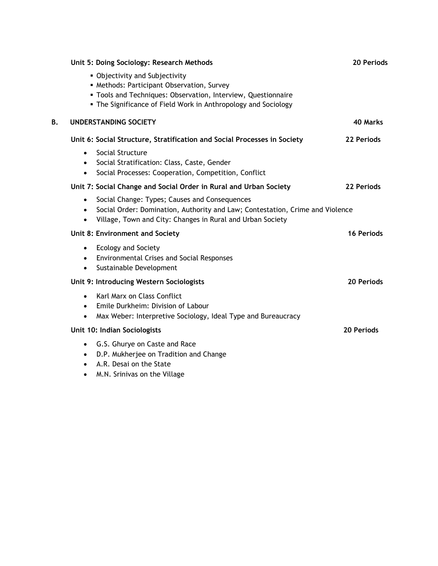|    | Unit 5: Doing Sociology: Research Methods                                                                                                                                                                                                                                                        | 20 Periods        |
|----|--------------------------------------------------------------------------------------------------------------------------------------------------------------------------------------------------------------------------------------------------------------------------------------------------|-------------------|
|    | • Objectivity and Subjectivity<br>• Methods: Participant Observation, Survey<br>· Tools and Techniques: Observation, Interview, Questionnaire<br>• The Significance of Field Work in Anthropology and Sociology                                                                                  |                   |
| В. | <b>UNDERSTANDING SOCIETY</b>                                                                                                                                                                                                                                                                     | 40 Marks          |
|    | Unit 6: Social Structure, Stratification and Social Processes in Society<br>Social Structure<br>$\bullet$<br>Social Stratification: Class, Caste, Gender<br>$\bullet$<br>Social Processes: Cooperation, Competition, Conflict<br>$\bullet$                                                       | 22 Periods        |
|    | Unit 7: Social Change and Social Order in Rural and Urban Society<br>Social Change: Types; Causes and Consequences<br>$\bullet$<br>Social Order: Domination, Authority and Law; Contestation, Crime and Violence<br>٠<br>Village, Town and City: Changes in Rural and Urban Society<br>$\bullet$ | 22 Periods        |
|    | Unit 8: Environment and Society<br><b>Ecology and Society</b><br>$\bullet$<br><b>Environmental Crises and Social Responses</b><br>$\bullet$<br>Sustainable Development<br>$\bullet$                                                                                                              | <b>16 Periods</b> |
|    | Unit 9: Introducing Western Sociologists<br>Karl Marx on Class Conflict<br>$\bullet$<br>Emile Durkheim: Division of Labour<br>$\bullet$<br>Max Weber: Interpretive Sociology, Ideal Type and Bureaucracy<br>$\bullet$                                                                            | 20 Periods        |
|    | Unit 10: Indian Sociologists<br>G.S. Ghurye on Caste and Race<br>$\bullet$<br>D.P. Mukherjee on Tradition and Change<br>$\bullet$<br>A.R. Desai on the State                                                                                                                                     | 20 Periods        |

M.N. Srinivas on the Village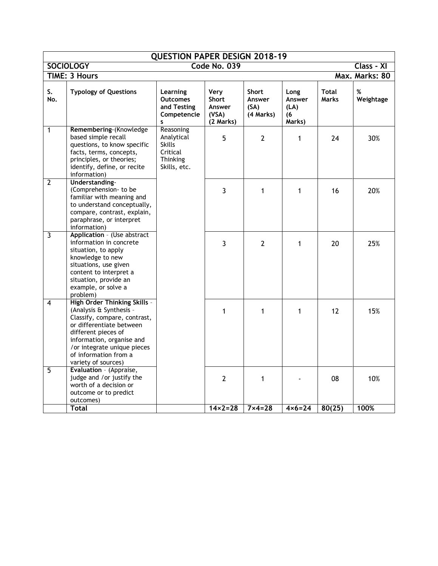| <b>QUESTION PAPER DESIGN 2018-19</b>           |                                                                                                                                                                                                                                                               |                                                                                         |                                                      |                                             |                                         |                              |                |
|------------------------------------------------|---------------------------------------------------------------------------------------------------------------------------------------------------------------------------------------------------------------------------------------------------------------|-----------------------------------------------------------------------------------------|------------------------------------------------------|---------------------------------------------|-----------------------------------------|------------------------------|----------------|
| <b>SOCIOLOGY</b><br>Code No. 039<br>Class - XI |                                                                                                                                                                                                                                                               |                                                                                         |                                                      |                                             |                                         |                              |                |
|                                                | <b>TIME: 3 Hours</b><br>Max. Marks: 80                                                                                                                                                                                                                        |                                                                                         |                                                      |                                             |                                         |                              |                |
| S.<br>No.                                      | <b>Typology of Questions</b>                                                                                                                                                                                                                                  | Learning<br><b>Outcomes</b><br>and Testing<br>Competencie<br>s                          | Very<br><b>Short</b><br>Answer<br>(VSA)<br>(2 Marks) | <b>Short</b><br>Answer<br>(SA)<br>(4 Marks) | Long<br>Answer<br>(LA)<br>(6)<br>Marks) | <b>Total</b><br><b>Marks</b> | %<br>Weightage |
| $\mathbf{1}$                                   | Remembering-(Knowledge<br>based simple recall<br>questions, to know specific<br>facts, terms, concepts,<br>principles, or theories;<br>identify, define, or recite<br>information)                                                                            | Reasoning<br>Analytical<br><b>Skills</b><br>Critical<br><b>Thinking</b><br>Skills, etc. | 5                                                    | $\overline{2}$                              | 1                                       | 24                           | 30%            |
| $\overline{2}$                                 | Understanding-<br>(Comprehension- to be<br>familiar with meaning and<br>to understand conceptually,<br>compare, contrast, explain,<br>paraphrase, or interpret<br>information)                                                                                |                                                                                         | $\overline{3}$                                       | $\mathbf{1}$                                | 1                                       | 16                           | 20%            |
| 3                                              | Application - (Use abstract<br>information in concrete<br>situation, to apply<br>knowledge to new<br>situations, use given<br>content to interpret a<br>situation, provide an<br>example, or solve a<br>problem)                                              |                                                                                         | 3                                                    | $\overline{2}$                              | 1                                       | 20                           | 25%            |
| $\overline{4}$                                 | <b>High Order Thinking Skills -</b><br>(Analysis & Synthesis -<br>Classify, compare, contrast,<br>or differentiate between<br>different pieces of<br>information, organise and<br>/or integrate unique pieces<br>of information from a<br>variety of sources) |                                                                                         | 1                                                    | $\mathbf{1}$                                | $\mathbf{1}$                            | 12                           | 15%            |
| $\overline{5}$                                 | Evaluation - (Appraise,<br>judge and /or justify the<br>worth of a decision or<br>outcome or to predict<br>outcomes)                                                                                                                                          |                                                                                         | $\overline{2}$                                       | 1                                           |                                         | 08                           | 10%            |
|                                                | Total                                                                                                                                                                                                                                                         |                                                                                         | $14 \times 2 = 28$                                   | $7 \times 4 = 28$                           | $4 \times 6 = 24$                       | 80(25)                       | 100%           |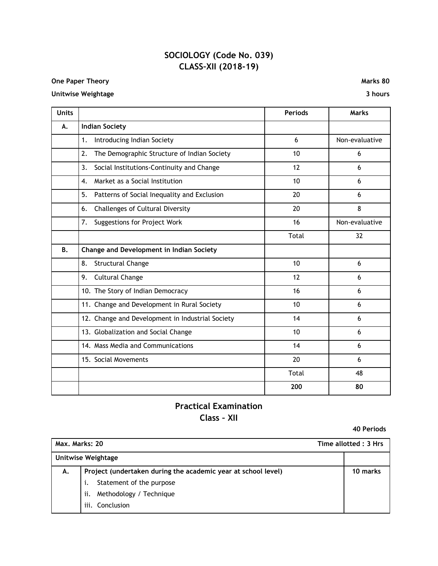# **SOCIOLOGY (Code No. 039) CLASS–XII (2018-19)**

### **One Paper Theory Marks 80**

### **Unitwise Weightage 3 hours**

| <b>Units</b> |                                                    | <b>Periods</b> | <b>Marks</b>   |
|--------------|----------------------------------------------------|----------------|----------------|
| А.           | <b>Indian Society</b>                              |                |                |
|              | 1.<br>Introducing Indian Society                   | 6              | Non-evaluative |
|              | 2.<br>The Demographic Structure of Indian Society  | 10             | 6              |
|              | 3.<br>Social Institutions-Continuity and Change    | 12             | 6              |
|              | Market as a Social Institution<br>$\overline{4}$ . | 10             | 6              |
|              | 5.<br>Patterns of Social Inequality and Exclusion  | 20             | 6              |
|              | 6.<br><b>Challenges of Cultural Diversity</b>      | 20             | 8              |
|              | 7.<br>Suggestions for Project Work                 | 16             | Non-evaluative |
|              |                                                    | Total          | 32             |
| <b>B.</b>    | Change and Development in Indian Society           |                |                |
|              | 8.<br><b>Structural Change</b>                     | 10             | 6              |
|              | <b>Cultural Change</b><br>9.                       | 12             | 6              |
|              | 10. The Story of Indian Democracy                  | 16             | 6              |
|              | 11. Change and Development in Rural Society        | 10             | 6              |
|              | 12. Change and Development in Industrial Society   | 14             | 6              |
|              | 13. Globalization and Social Change                | 10             | 6              |
|              | 14. Mass Media and Communications                  | 14             | 6              |
|              | 15. Social Movements                               | 20             | 6              |
|              |                                                    | Total          | 48             |
|              |                                                    | 200            | 80             |

# **Practical Examination Class – XII**

**40 Periods**

| Max. Marks: 20            |                                                               | Time allotted: 3 Hrs |
|---------------------------|---------------------------------------------------------------|----------------------|
| <b>Unitwise Weightage</b> |                                                               |                      |
| А.                        | Project (undertaken during the academic year at school level) | 10 marks             |
|                           | Statement of the purpose                                      |                      |
|                           | Methodology / Technique<br>ii.                                |                      |
|                           | iii.<br>Conclusion                                            |                      |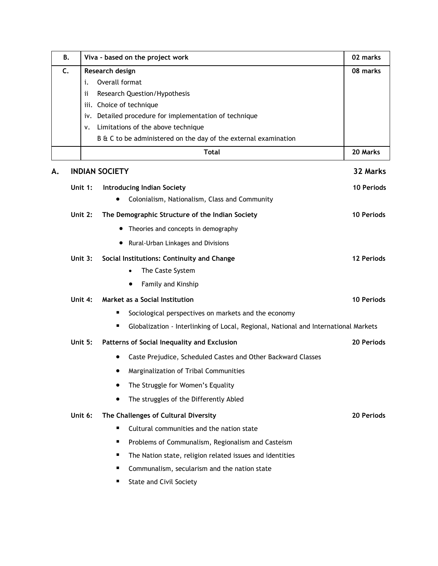| В. | Viva - based on the project work                                                         | 02 marks          |
|----|------------------------------------------------------------------------------------------|-------------------|
| C. | Research design                                                                          | 08 marks          |
|    | Overall format<br>i.                                                                     |                   |
|    | Research Question/Hypothesis<br>ii                                                       |                   |
|    | iii. Choice of technique                                                                 |                   |
|    | iv. Detailed procedure for implementation of technique                                   |                   |
|    | Limitations of the above technique<br>ν.                                                 |                   |
|    | B & C to be administered on the day of the external examination                          |                   |
|    | <b>Total</b>                                                                             | 20 Marks          |
| Α. | <b>INDIAN SOCIETY</b>                                                                    | 32 Marks          |
|    | Unit 1:<br><b>Introducing Indian Society</b>                                             | <b>10 Periods</b> |
|    | Colonialism, Nationalism, Class and Community                                            |                   |
|    | The Demographic Structure of the Indian Society<br>Unit 2:                               | <b>10 Periods</b> |
|    | Theories and concepts in demography<br>$\bullet$                                         |                   |
|    | Rural-Urban Linkages and Divisions                                                       |                   |
|    | Unit 3:<br>Social Institutions: Continuity and Change                                    | 12 Periods        |
|    | The Caste System<br>$\bullet$                                                            |                   |
|    | Family and Kinship                                                                       |                   |
|    | Market as a Social Institution<br>Unit 4:                                                | 10 Periods        |
|    | Sociological perspectives on markets and the economy                                     |                   |
|    | п<br>Globalization - Interlinking of Local, Regional, National and International Markets |                   |
|    | Unit 5:<br>Patterns of Social Inequality and Exclusion                                   | 20 Periods        |
|    | Caste Prejudice, Scheduled Castes and Other Backward Classes                             |                   |
|    | Marginalization of Tribal Communities                                                    |                   |
|    | The Struggle for Women's Equality                                                        |                   |
|    | The struggles of the Differently Abled                                                   |                   |
|    | Unit 6:<br>The Challenges of Cultural Diversity                                          | 20 Periods        |
|    | Cultural communities and the nation state<br>п                                           |                   |
|    | Problems of Communalism, Regionalism and Casteism                                        |                   |
|    | The Nation state, religion related issues and identities                                 |                   |
|    | Communalism, secularism and the nation state                                             |                   |

**E** State and Civil Society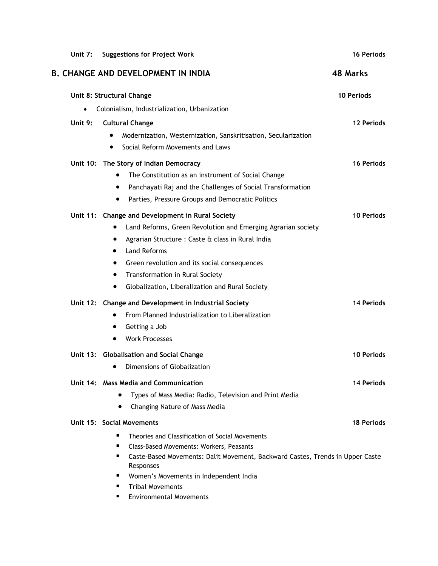| Unit 7:   | <b>Suggestions for Project Work</b>                                                                             | <b>16 Periods</b> |
|-----------|-----------------------------------------------------------------------------------------------------------------|-------------------|
|           | <b>B. CHANGE AND DEVELOPMENT IN INDIA</b>                                                                       | <b>48 Marks</b>   |
|           | Unit 8: Structural Change                                                                                       | 10 Periods        |
| $\bullet$ | Colonialism, Industrialization, Urbanization                                                                    |                   |
| Unit 9:   | <b>Cultural Change</b>                                                                                          | 12 Periods        |
|           | Modernization, Westernization, Sanskritisation, Secularization<br>Social Reform Movements and Laws<br>$\bullet$ |                   |
|           | Unit 10: The Story of Indian Democracy                                                                          | 16 Periods        |
|           | The Constitution as an instrument of Social Change<br>$\bullet$                                                 |                   |
|           | Panchayati Raj and the Challenges of Social Transformation                                                      |                   |
|           | Parties, Pressure Groups and Democratic Politics<br>$\bullet$                                                   |                   |
|           | Unit 11: Change and Development in Rural Society                                                                | <b>10 Periods</b> |
|           | Land Reforms, Green Revolution and Emerging Agrarian society                                                    |                   |
|           | Agrarian Structure : Caste & class in Rural India                                                               |                   |
|           | <b>Land Reforms</b><br>$\bullet$                                                                                |                   |
|           | Green revolution and its social consequences<br>٠                                                               |                   |
|           | Transformation in Rural Society                                                                                 |                   |
|           | Globalization, Liberalization and Rural Society                                                                 |                   |
|           | Unit 12: Change and Development in Industrial Society                                                           | 14 Periods        |
|           | From Planned Industrialization to Liberalization                                                                |                   |
|           | Getting a Job                                                                                                   |                   |
|           | <b>Work Processes</b>                                                                                           |                   |
|           | Unit 13: Globalisation and Social Change                                                                        | <b>10 Periods</b> |
|           | Dimensions of Globalization                                                                                     |                   |
|           | Unit 14: Mass Media and Communication                                                                           | 14 Periods        |
|           | Types of Mass Media: Radio, Television and Print Media                                                          |                   |
|           | Changing Nature of Mass Media                                                                                   |                   |
|           | Unit 15: Social Movements                                                                                       | <b>18 Periods</b> |
|           | п<br>Theories and Classification of Social Movements                                                            |                   |
|           | п<br>Class-Based Movements: Workers, Peasants                                                                   |                   |
|           | Caste-Based Movements: Dalit Movement, Backward Castes, Trends in Upper Caste<br>п<br>Responses                 |                   |
|           | Women's Movements in Independent India<br>п                                                                     |                   |
|           | <b>Tribal Movements</b>                                                                                         |                   |
|           |                                                                                                                 |                   |

**Environmental Movements**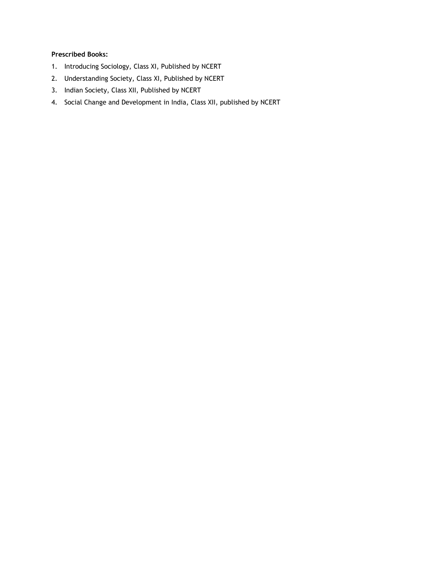### **Prescribed Books:**

- 1. Introducing Sociology, Class XI, Published by NCERT
- 2. Understanding Society, Class XI, Published by NCERT
- 3. Indian Society, Class XII, Published by NCERT
- 4. Social Change and Development in India, Class XII, published by NCERT